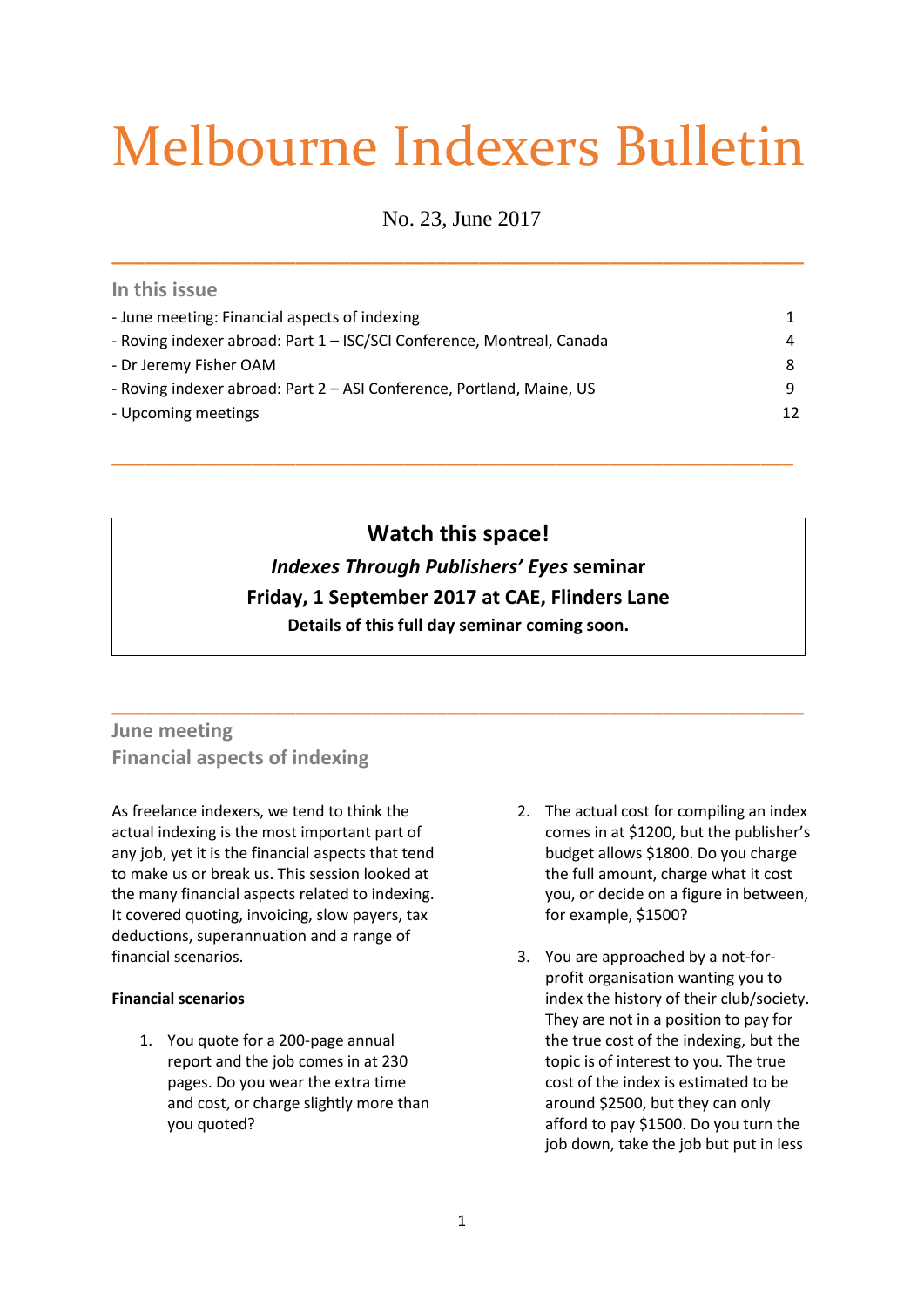# Melbourne Indexers Bulletin

No. 23, June 2017

**\_\_\_\_\_\_\_\_\_\_\_\_\_\_\_\_\_\_\_\_\_\_\_\_\_\_\_\_\_\_\_\_\_\_\_\_\_\_\_\_\_\_\_\_\_\_\_\_\_\_\_\_\_\_\_\_\_\_\_\_\_\_\_\_**

| - June meeting: Financial aspects of indexing                          | 1  |
|------------------------------------------------------------------------|----|
| - Roving indexer abroad: Part 1 - ISC/SCI Conference, Montreal, Canada | 4  |
| - Dr Jeremy Fisher OAM                                                 | 8  |
| - Roving indexer abroad: Part 2 - ASI Conference, Portland, Maine, US  | 9. |
| - Upcoming meetings                                                    | 12 |

**\_\_\_\_\_\_\_\_\_\_\_\_\_\_\_\_\_\_\_\_\_\_\_\_\_\_\_\_\_\_\_\_\_\_\_\_\_\_\_\_\_\_\_\_\_\_\_\_\_\_\_\_\_\_\_\_\_\_\_\_\_\_\_**

# **Watch this space!**

# *Indexes Through Publishers' Eyes* **seminar Friday, 1 September 2017 at CAE, Flinders Lane Details of this full day seminar coming soon.**

**\_\_\_\_\_\_\_\_\_\_\_\_\_\_\_\_\_\_\_\_\_\_\_\_\_\_\_\_\_\_\_\_\_\_\_\_\_\_\_\_\_\_\_\_\_\_\_\_\_\_\_\_\_\_\_\_\_\_\_\_\_\_\_\_**

**June meeting Financial aspects of indexing**

As freelance indexers, we tend to think the actual indexing is the most important part of any job, yet it is the financial aspects that tend to make us or break us. This session looked at the many financial aspects related to indexing. It covered quoting, invoicing, slow payers, tax deductions, superannuation and a range of financial scenarios.

## **Financial scenarios**

**In this issue**

1. You quote for a 200-page annual report and the job comes in at 230 pages. Do you wear the extra time and cost, or charge slightly more than you quoted?

- 2. The actual cost for compiling an index comes in at \$1200, but the publisher's budget allows \$1800. Do you charge the full amount, charge what it cost you, or decide on a figure in between, for example, \$1500?
- 3. You are approached by a not-forprofit organisation wanting you to index the history of their club/society. They are not in a position to pay for the true cost of the indexing, but the topic is of interest to you. The true cost of the index is estimated to be around \$2500, but they can only afford to pay \$1500. Do you turn the job down, take the job but put in less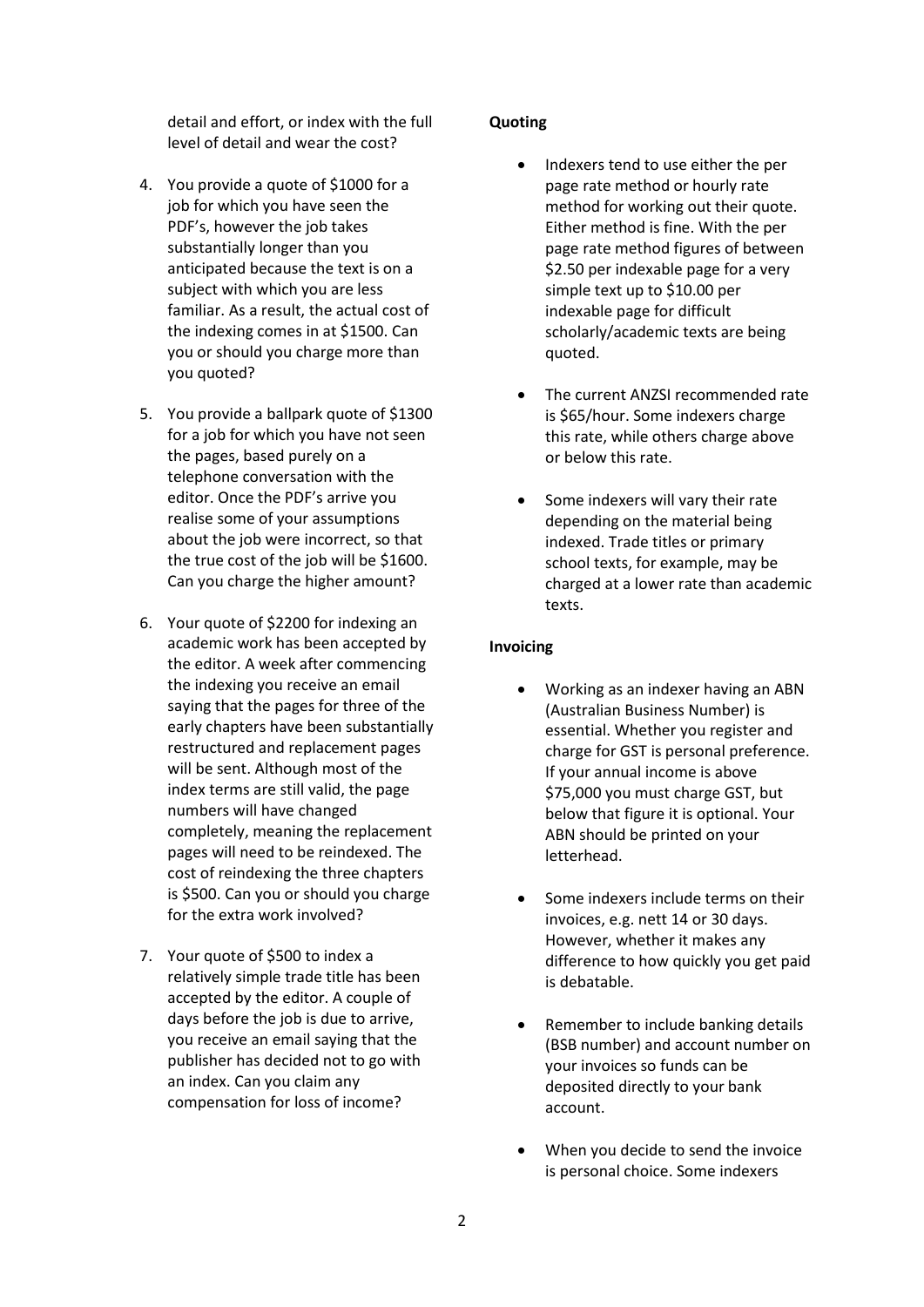detail and effort, or index with the full level of detail and wear the cost?

- 4. You provide a quote of \$1000 for a job for which you have seen the PDF's, however the job takes substantially longer than you anticipated because the text is on a subject with which you are less familiar. As a result, the actual cost of the indexing comes in at \$1500. Can you or should you charge more than you quoted?
- 5. You provide a ballpark quote of \$1300 for a job for which you have not seen the pages, based purely on a telephone conversation with the editor. Once the PDF's arrive you realise some of your assumptions about the job were incorrect, so that the true cost of the job will be \$1600. Can you charge the higher amount?
- 6. Your quote of \$2200 for indexing an academic work has been accepted by the editor. A week after commencing the indexing you receive an email saying that the pages for three of the early chapters have been substantially restructured and replacement pages will be sent. Although most of the index terms are still valid, the page numbers will have changed completely, meaning the replacement pages will need to be reindexed. The cost of reindexing the three chapters is \$500. Can you or should you charge for the extra work involved?
- 7. Your quote of \$500 to index a relatively simple trade title has been accepted by the editor. A couple of days before the job is due to arrive. you receive an email saying that the publisher has decided not to go with an index. Can you claim any compensation for loss of income?

## **Quoting**

- Indexers tend to use either the per page rate method or hourly rate method for working out their quote. Either method is fine. With the per page rate method figures of between \$2.50 per indexable page for a very simple text up to \$10.00 per indexable page for difficult scholarly/academic texts are being quoted.
- The current ANZSI recommended rate is \$65/hour. Some indexers charge this rate, while others charge above or below this rate.
- Some indexers will vary their rate depending on the material being indexed. Trade titles or primary school texts, for example, may be charged at a lower rate than academic texts.

# **Invoicing**

- Working as an indexer having an ABN (Australian Business Number) is essential. Whether you register and charge for GST is personal preference. If your annual income is above \$75,000 you must charge GST, but below that figure it is optional. Your ABN should be printed on your letterhead.
- Some indexers include terms on their invoices, e.g. nett 14 or 30 days. However, whether it makes any difference to how quickly you get paid is debatable.
- Remember to include banking details (BSB number) and account number on your invoices so funds can be deposited directly to your bank account.
- When you decide to send the invoice is personal choice. Some indexers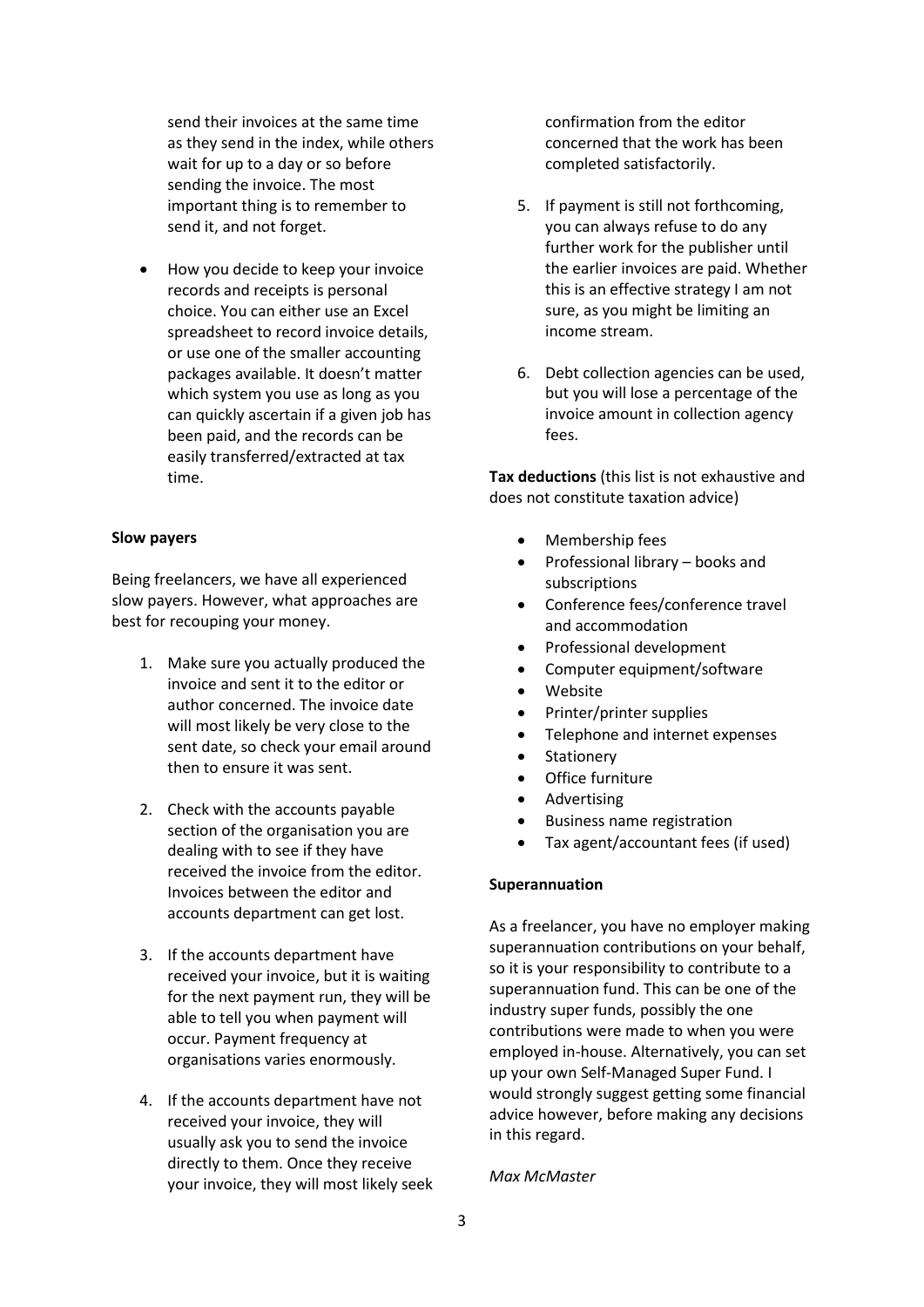send their invoices at the same time as they send in the index, while others wait for up to a day or so before sending the invoice. The most important thing is to remember to send it, and not forget.

• How you decide to keep your invoice records and receipts is personal choice. You can either use an Excel spreadsheet to record invoice details, or use one of the smaller accounting packages available. It doesn't matter which system you use as long as you can quickly ascertain if a given job has been paid, and the records can be easily transferred/extracted at tax time.

#### **Slow payers**

Being freelancers, we have all experienced slow payers. However, what approaches are best for recouping your money.

- 1. Make sure you actually produced the invoice and sent it to the editor or author concerned. The invoice date will most likely be very close to the sent date, so check your email around then to ensure it was sent.
- 2. Check with the accounts payable section of the organisation you are dealing with to see if they have received the invoice from the editor. Invoices between the editor and accounts department can get lost.
- 3. If the accounts department have received your invoice, but it is waiting for the next payment run, they will be able to tell you when payment will occur. Payment frequency at organisations varies enormously.
- 4. If the accounts department have not received your invoice, they will usually ask you to send the invoice directly to them. Once they receive your invoice, they will most likely seek

confirmation from the editor concerned that the work has been completed satisfactorily.

- 5. If payment is still not forthcoming, you can always refuse to do any further work for the publisher until the earlier invoices are paid. Whether this is an effective strategy I am not sure, as you might be limiting an income stream.
- 6. Debt collection agencies can be used, but you will lose a percentage of the invoice amount in collection agency fees.

**Tax deductions** (this list is not exhaustive and does not constitute taxation advice)

- Membership fees
- Professional library books and subscriptions
- Conference fees/conference travel and accommodation
- Professional development
- Computer equipment/software
- Website
- Printer/printer supplies
- Telephone and internet expenses
- **Stationery**
- Office furniture
- Advertising
- Business name registration
- Tax agent/accountant fees (if used)

#### **Superannuation**

As a freelancer, you have no employer making superannuation contributions on your behalf, so it is your responsibility to contribute to a superannuation fund. This can be one of the industry super funds, possibly the one contributions were made to when you were employed in-house. Alternatively, you can set up your own Self-Managed Super Fund. I would strongly suggest getting some financial advice however, before making any decisions in this regard.

#### *Max McMaster*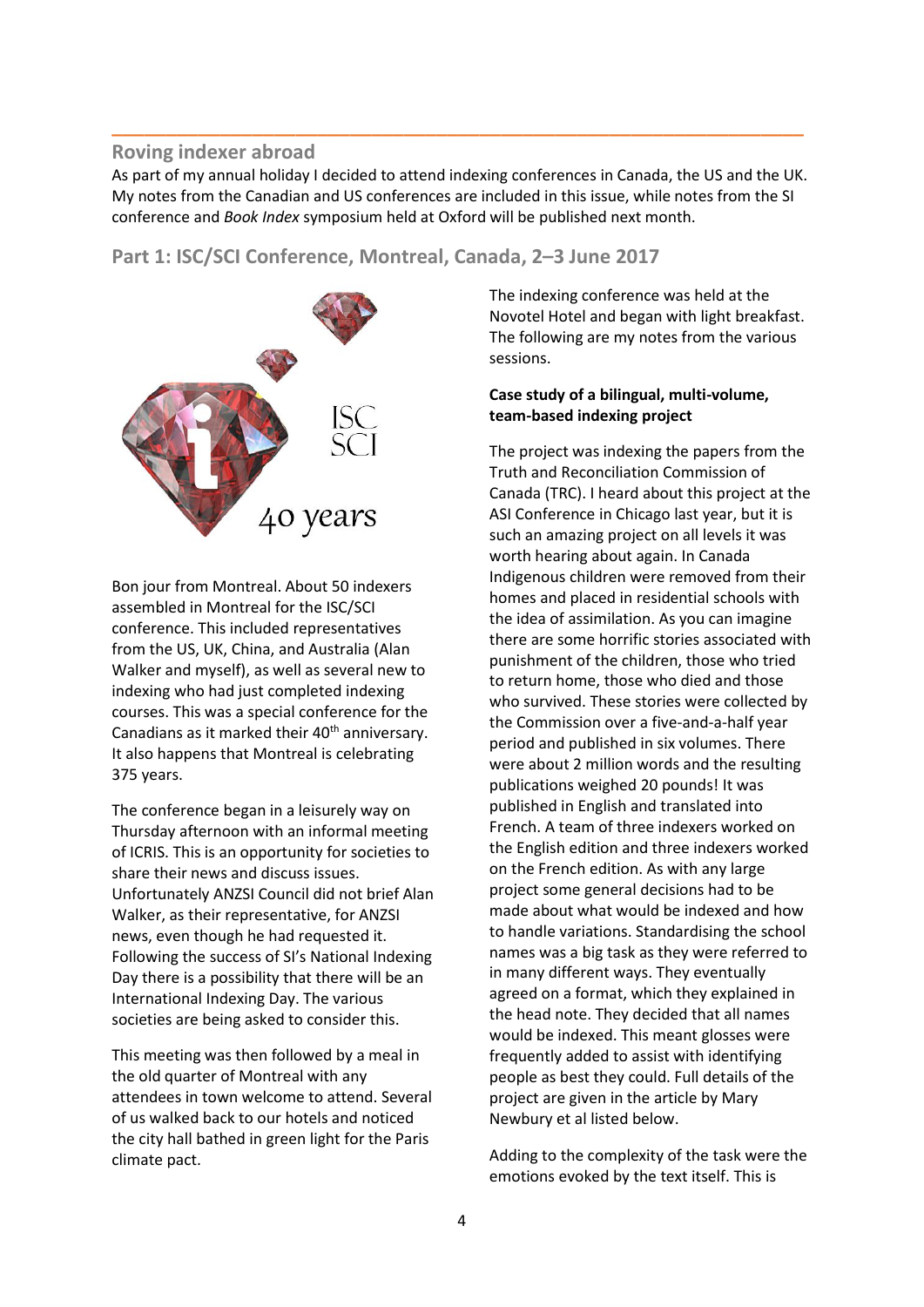# **Roving indexer abroad**

As part of my annual holiday I decided to attend indexing conferences in Canada, the US and the UK. My notes from the Canadian and US conferences are included in this issue, while notes from the SI conference and *Book Index* symposium held at Oxford will be published next month.

**\_\_\_\_\_\_\_\_\_\_\_\_\_\_\_\_\_\_\_\_\_\_\_\_\_\_\_\_\_\_\_\_\_\_\_\_\_\_\_\_\_\_\_\_\_\_\_\_\_\_\_\_\_\_\_\_\_\_\_\_\_\_\_\_**

# **Part 1: ISC/SCI Conference, Montreal, Canada, 2–3 June 2017**



Bon jour from Montreal. About 50 indexers assembled in Montreal for the ISC/SCI conference. This included representatives from the US, UK, China, and Australia (Alan Walker and myself), as well as several new to indexing who had just completed indexing courses. This was a special conference for the Canadians as it marked their  $40<sup>th</sup>$  anniversary. It also happens that Montreal is celebrating 375 years.

The conference began in a leisurely way on Thursday afternoon with an informal meeting of ICRIS. This is an opportunity for societies to share their news and discuss issues. Unfortunately ANZSI Council did not brief Alan Walker, as their representative, for ANZSI news, even though he had requested it. Following the success of SI's National Indexing Day there is a possibility that there will be an International Indexing Day. The various societies are being asked to consider this.

This meeting was then followed by a meal in the old quarter of Montreal with any attendees in town welcome to attend. Several of us walked back to our hotels and noticed the city hall bathed in green light for the Paris climate pact.

The indexing conference was held at the Novotel Hotel and began with light breakfast. The following are my notes from the various sessions.

## **Case study of a bilingual, multi-volume, team-based indexing project**

The project was indexing the papers from the Truth and Reconciliation Commission of Canada (TRC). I heard about this project at the ASI Conference in Chicago last year, but it is such an amazing project on all levels it was worth hearing about again. In Canada Indigenous children were removed from their homes and placed in residential schools with the idea of assimilation. As you can imagine there are some horrific stories associated with punishment of the children, those who tried to return home, those who died and those who survived. These stories were collected by the Commission over a five-and-a-half year period and published in six volumes. There were about 2 million words and the resulting publications weighed 20 pounds! It was published in English and translated into French. A team of three indexers worked on the English edition and three indexers worked on the French edition. As with any large project some general decisions had to be made about what would be indexed and how to handle variations. Standardising the school names was a big task as they were referred to in many different ways. They eventually agreed on a format, which they explained in the head note. They decided that all names would be indexed. This meant glosses were frequently added to assist with identifying people as best they could. Full details of the project are given in the article by Mary Newbury et al listed below.

Adding to the complexity of the task were the emotions evoked by the text itself. This is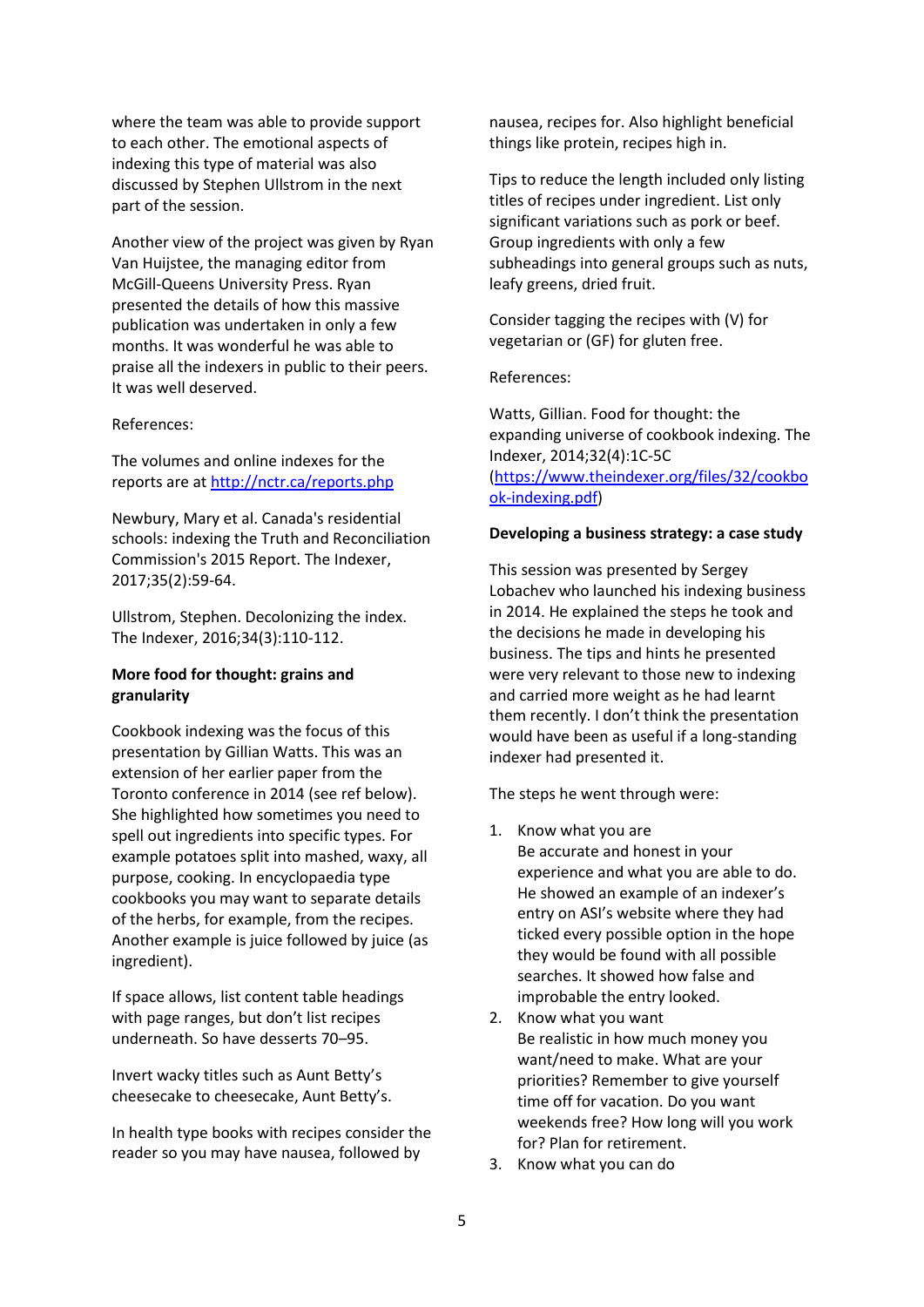where the team was able to provide support to each other. The emotional aspects of indexing this type of material was also discussed by Stephen Ullstrom in the next part of the session.

Another view of the project was given by Ryan Van Huijstee, the managing editor from McGill-Queens University Press. Ryan presented the details of how this massive publication was undertaken in only a few months. It was wonderful he was able to praise all the indexers in public to their peers. It was well deserved.

#### References:

The volumes and online indexes for the reports are a[t http://nctr.ca/reports.php](http://nctr.ca/reports.php)

Newbury, Mary et al. Canada's residential schools: indexing the Truth and Reconciliation Commission's 2015 Report. [The Indexer,](http://www.ingentaconnect.com/content/index/tiji) 2017;35(2):59-64.

Ullstrom, Stephen. Decolonizing the index. [The Indexer,](http://www.ingentaconnect.com/content/index/tiji) 2016;34(3):110-112.

# **More food for thought: grains and granularity**

Cookbook indexing was the focus of this presentation by Gillian Watts. This was an extension of her earlier paper from the Toronto conference in 2014 (see ref below). She highlighted how sometimes you need to spell out ingredients into specific types. For example potatoes split into mashed, waxy, all purpose, cooking. In encyclopaedia type cookbooks you may want to separate details of the herbs, for example, from the recipes. Another example is juice followed by juice (as ingredient).

If space allows, list content table headings with page ranges, but don't list recipes underneath. So have desserts 70–95.

Invert wacky titles such as Aunt Betty's cheesecake to cheesecake, Aunt Betty's.

In health type books with recipes consider the reader so you may have nausea, followed by

nausea, recipes for. Also highlight beneficial things like protein, recipes high in.

Tips to reduce the length included only listing titles of recipes under ingredient. List only significant variations such as pork or beef. Group ingredients with only a few subheadings into general groups such as nuts, leafy greens, dried fruit.

Consider tagging the recipes with (V) for vegetarian or (GF) for gluten free.

#### References:

Watts, Gillian. Food for thought: the expanding universe of cookbook indexing[. The](http://www.ingentaconnect.com/content/index/tiji)  [Indexer,](http://www.ingentaconnect.com/content/index/tiji) 2014;32(4):1C-5C

# [\(https://www.theindexer.org/files/32/cookbo](https://www.theindexer.org/files/32/cookbook-indexing.pdf) [ok-indexing.pdf\)](https://www.theindexer.org/files/32/cookbook-indexing.pdf)

#### **Developing a business strategy: a case study**

This session was presented by Sergey Lobachev who launched his indexing business in 2014. He explained the steps he took and the decisions he made in developing his business. The tips and hints he presented were very relevant to those new to indexing and carried more weight as he had learnt them recently. I don't think the presentation would have been as useful if a long-standing indexer had presented it.

The steps he went through were:

1. Know what you are Be accurate and honest in your experience and what you are able to do.

He showed an example of an indexer's entry on ASI's website where they had ticked every possible option in the hope they would be found with all possible searches. It showed how false and improbable the entry looked.

- 2. Know what you want Be realistic in how much money you want/need to make. What are your priorities? Remember to give yourself time off for vacation. Do you want weekends free? How long will you work for? Plan for retirement.
- 3. Know what you can do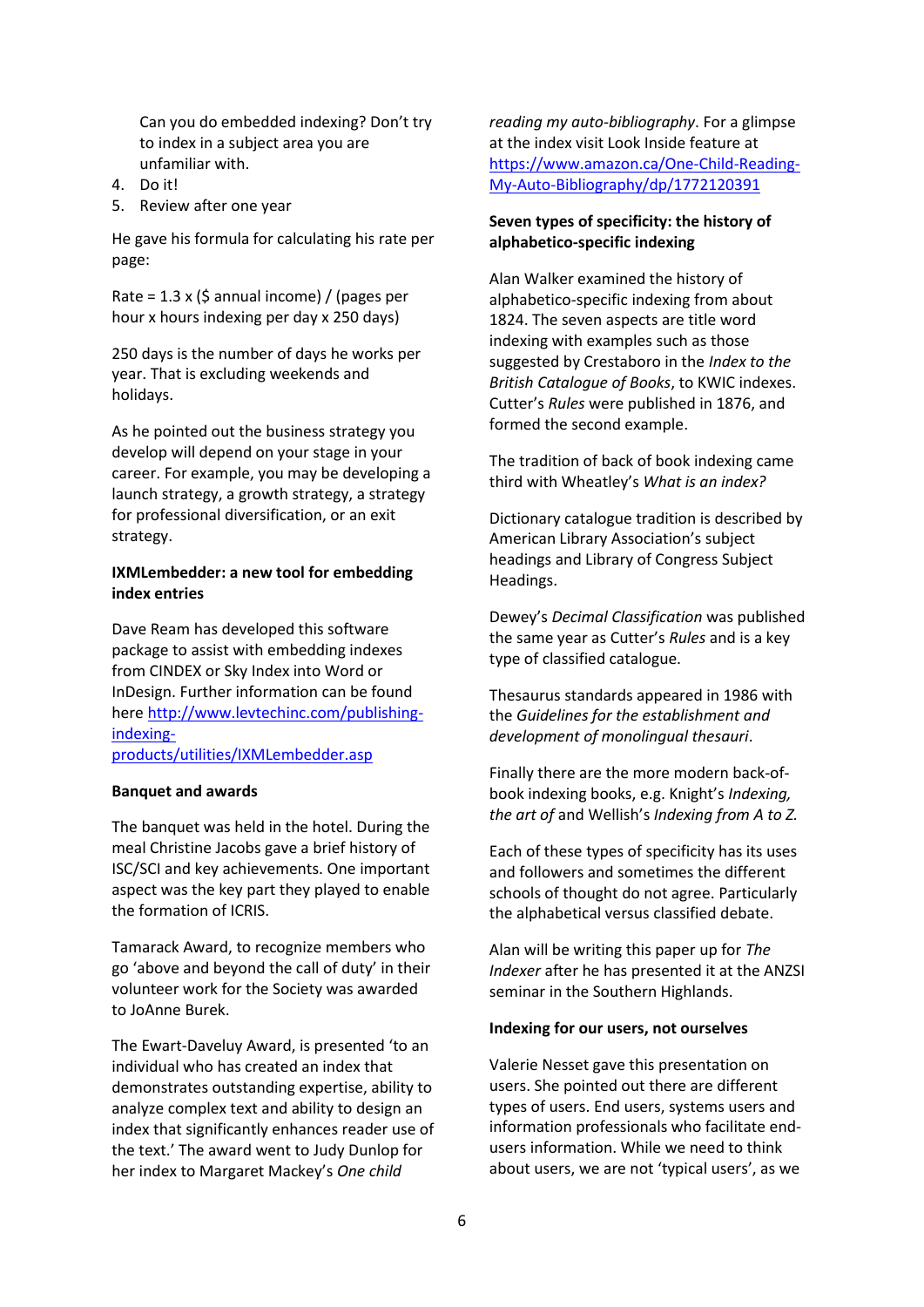Can you do embedded indexing? Don't try to index in a subject area you are unfamiliar with.

- 4. Do it!
- 5. Review after one year

He gave his formula for calculating his rate per page:

Rate =  $1.3 \times$  (\$ annual income) / (pages per hour x hours indexing per day x 250 days)

250 days is the number of days he works per year. That is excluding weekends and holidays.

As he pointed out the business strategy you develop will depend on your stage in your career. For example, you may be developing a launch strategy, a growth strategy, a strategy for professional diversification, or an exit strategy.

# **IXMLembedder: a new tool for embedding index entries**

Dave Ream has developed this software package to assist with embedding indexes from CINDEX or Sky Index into Word or InDesign. Further information can be found here [http://www.levtechinc.com/publishing](http://www.levtechinc.com/publishing-indexing-products/utilities/IXMLembedder.asp)[indexing-](http://www.levtechinc.com/publishing-indexing-products/utilities/IXMLembedder.asp)

[products/utilities/IXMLembedder.asp](http://www.levtechinc.com/publishing-indexing-products/utilities/IXMLembedder.asp)

#### **Banquet and awards**

The banquet was held in the hotel. During the meal Christine Jacobs gave a brief history of ISC/SCI and key achievements. One important aspect was the key part they played to enable the formation of ICRIS.

Tamarack Award, to recognize members who go 'above and beyond the call of duty' in their volunteer work for the Society was awarded to JoAnne Burek.

The Ewart-Daveluy Award, is presented 'to an individual who has created an index that demonstrates outstanding expertise, ability to analyze complex text and ability to design an index that significantly enhances reader use of the text.' The award went to Judy Dunlop for her index to Margaret Mackey's *One child*

*reading my auto-bibliography*. For a glimpse at the index visit Look Inside feature at [https://www.amazon.ca/One-Child-Reading-](https://www.amazon.ca/One-Child-Reading-My-Auto-Bibliography/dp/1772120391)[My-Auto-Bibliography/dp/1772120391](https://www.amazon.ca/One-Child-Reading-My-Auto-Bibliography/dp/1772120391)

# **Seven types of specificity: the history of alphabetico-specific indexing**

Alan Walker examined the history of alphabetico-specific indexing from about 1824. The seven aspects are title word indexing with examples such as those suggested by Crestaboro in the *Index to the British Catalogue of Books*, to KWIC indexes. Cutter's *Rules* were published in 1876, and formed the second example.

The tradition of back of book indexing came third with Wheatley's *What is an index?*

Dictionary catalogue tradition is described by American Library Association's subject headings and Library of Congress Subject Headings.

Dewey's *Decimal Classification* was published the same year as Cutter's *Rules* and is a key type of classified catalogue.

Thesaurus standards appeared in 1986 with the *Guidelines for the establishment and development of monolingual thesauri*.

Finally there are the more modern back-ofbook indexing books, e.g. Knight's *Indexing, the art of* and Wellish's *Indexing from A to Z.*

Each of these types of specificity has its uses and followers and sometimes the different schools of thought do not agree. Particularly the alphabetical versus classified debate.

Alan will be writing this paper up for *The Indexer* after he has presented it at the ANZSI seminar in the Southern Highlands.

#### **Indexing for our users, not ourselves**

Valerie Nesset gave this presentation on users. She pointed out there are different types of users. End users, systems users and information professionals who facilitate endusers information. While we need to think about users, we are not 'typical users', as we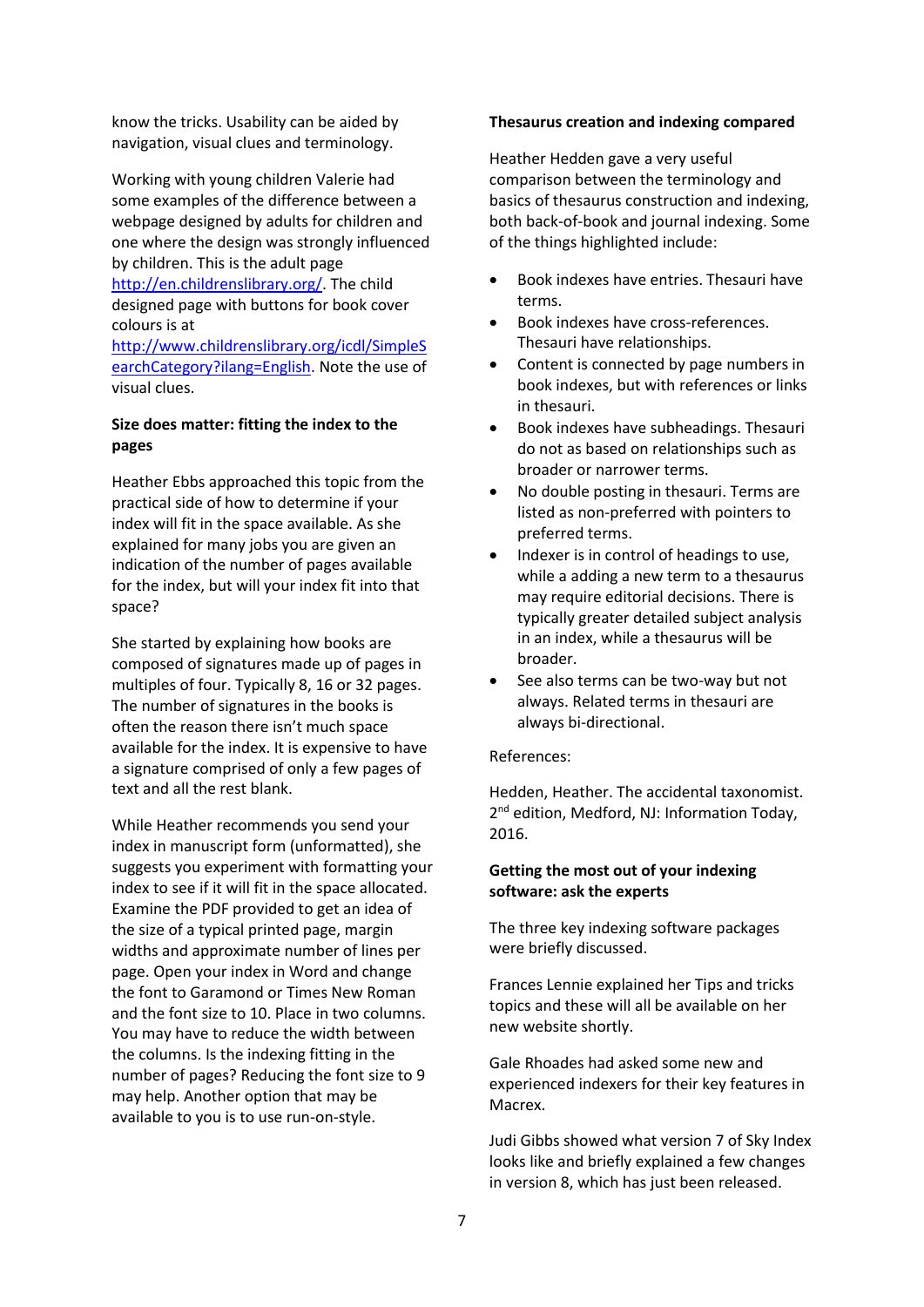know the tricks. Usability can be aided by navigation, visual clues and terminology.

Working with young children Valerie had some examples of the difference between a webpage designed by adults for children and one where the design was strongly influenced by children. This is the adult page [http://en.childrenslibrary.org/.](http://en.childrenslibrary.org/) The child designed page with buttons for book cover colours is at [http://www.childrenslibrary.org/icdl/SimpleS](http://www.childrenslibrary.org/icdl/SimpleSearchCategory?ilang=English)

[earchCategory?ilang=English.](http://www.childrenslibrary.org/icdl/SimpleSearchCategory?ilang=English) Note the use of visual clues.

# **Size does matter: fitting the index to the pages**

Heather Ebbs approached this topic from the practical side of how to determine if your index will fit in the space available. As she explained for many jobs you are given an indication of the number of pages available for the index, but will your index fit into that space?

She started by explaining how books are composed of signatures made up of pages in multiples of four. Typically 8, 16 or 32 pages. The number of signatures in the books is often the reason there isn't much space available for the index. It is expensive to have a signature comprised of only a few pages of text and all the rest blank.

While Heather recommends you send your index in manuscript form (unformatted), she suggests you experiment with formatting your index to see if it will fit in the space allocated. Examine the PDF provided to get an idea of the size of a typical printed page, margin widths and approximate number of lines per page. Open your index in Word and change the font to Garamond or Times New Roman and the font size to 10. Place in two columns. You may have to reduce the width between the columns. Is the indexing fitting in the number of pages? Reducing the font size to 9 may help. Another option that may be available to you is to use run-on-style.

#### **Thesaurus creation and indexing compared**

Heather Hedden gave a very useful comparison between the terminology and basics of thesaurus construction and indexing, both back-of-book and journal indexing. Some of the things highlighted include:

- Book indexes have entries. Thesauri have terms.
- Book indexes have cross-references. Thesauri have relationships.
- Content is connected by page numbers in book indexes, but with references or links in thesauri.
- Book indexes have subheadings. Thesauri do not as based on relationships such as broader or narrower terms.
- No double posting in thesauri. Terms are listed as non-preferred with pointers to preferred terms.
- Indexer is in control of headings to use, while a adding a new term to a thesaurus may require editorial decisions. There is typically greater detailed subject analysis in an index, while a thesaurus will be broader.
- See also terms can be two-way but not always. Related terms in thesauri are always bi-directional.

#### References:

Hedden, Heather. The accidental taxonomist. 2 nd edition, Medford, NJ: Information Today, 2016.

#### **Getting the most out of your indexing software: ask the experts**

The three key indexing software packages were briefly discussed.

Frances Lennie explained her Tips and tricks topics and these will all be available on her new website shortly.

Gale Rhoades had asked some new and experienced indexers for their key features in Macrex.

Judi Gibbs showed what version 7 of Sky Index looks like and briefly explained a few changes in version 8, which has just been released.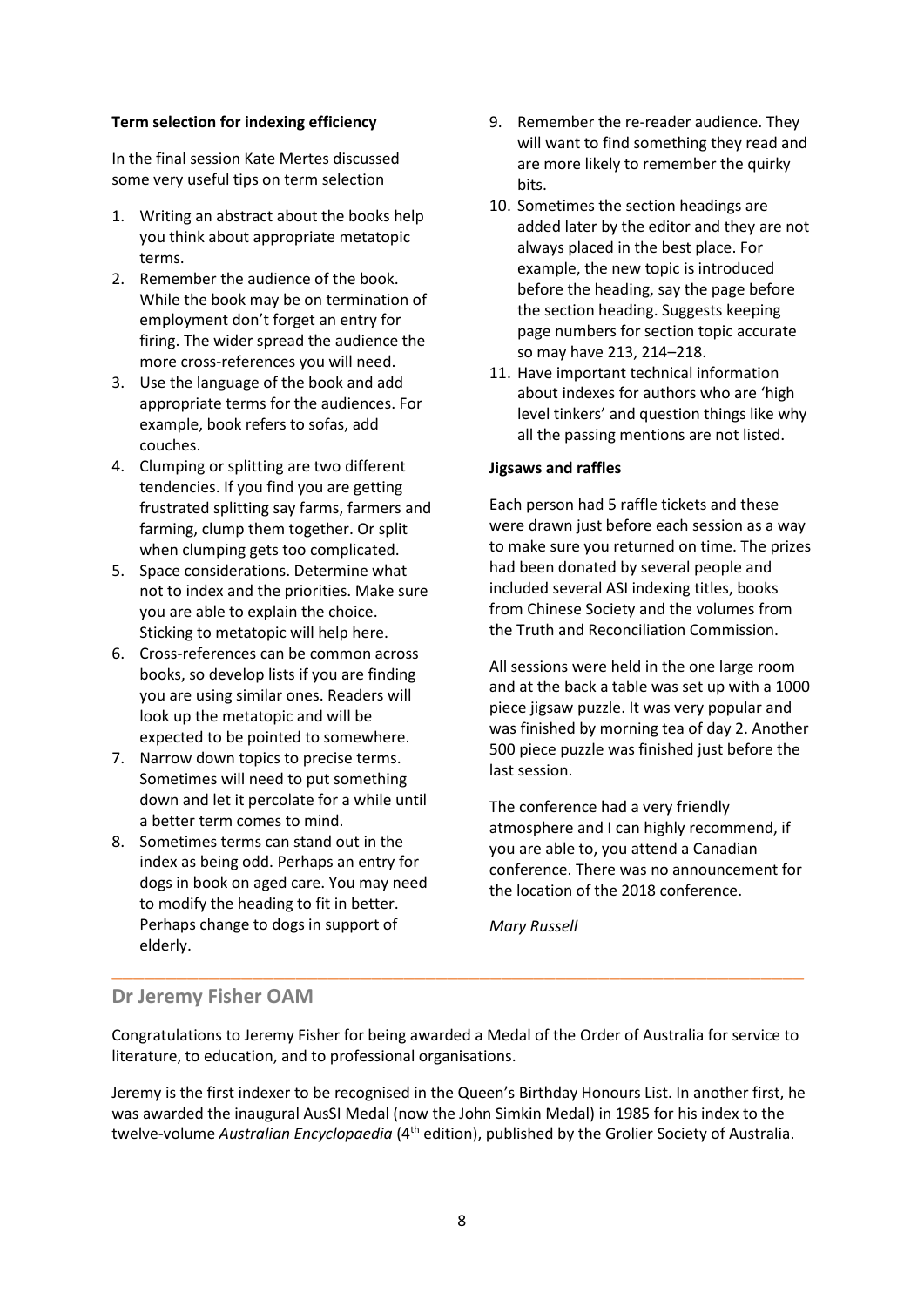# **Term selection for indexing efficiency**

In the final session Kate Mertes discussed some very useful tips on term selection

- 1. Writing an abstract about the books help you think about appropriate metatopic terms.
- 2. Remember the audience of the book. While the book may be on termination of employment don't forget an entry for firing. The wider spread the audience the more cross-references you will need.
- 3. Use the language of the book and add appropriate terms for the audiences. For example, book refers to sofas, add couches.
- 4. Clumping or splitting are two different tendencies. If you find you are getting frustrated splitting say farms, farmers and farming, clump them together. Or split when clumping gets too complicated.
- 5. Space considerations. Determine what not to index and the priorities. Make sure you are able to explain the choice. Sticking to metatopic will help here.
- 6. Cross-references can be common across books, so develop lists if you are finding you are using similar ones. Readers will look up the metatopic and will be expected to be pointed to somewhere.
- 7. Narrow down topics to precise terms. Sometimes will need to put something down and let it percolate for a while until a better term comes to mind.
- 8. Sometimes terms can stand out in the index as being odd. Perhaps an entry for dogs in book on aged care. You may need to modify the heading to fit in better. Perhaps change to dogs in support of elderly.
- 9. Remember the re-reader audience. They will want to find something they read and are more likely to remember the quirky bits.
- 10. Sometimes the section headings are added later by the editor and they are not always placed in the best place. For example, the new topic is introduced before the heading, say the page before the section heading. Suggests keeping page numbers for section topic accurate so may have 213, 214–218.
- 11. Have important technical information about indexes for authors who are 'high level tinkers' and question things like why all the passing mentions are not listed.

# **Jigsaws and raffles**

Each person had 5 raffle tickets and these were drawn just before each session as a way to make sure you returned on time. The prizes had been donated by several people and included several ASI indexing titles, books from Chinese Society and the volumes from the Truth and Reconciliation Commission.

All sessions were held in the one large room and at the back a table was set up with a 1000 piece jigsaw puzzle. It was very popular and was finished by morning tea of day 2. Another 500 piece puzzle was finished just before the last session.

The conference had a very friendly atmosphere and I can highly recommend, if you are able to, you attend a Canadian conference. There was no announcement for the location of the 2018 conference.

*Mary Russell*

# **Dr Jeremy Fisher OAM**

Congratulations to Jeremy Fisher for being awarded a Medal of the Order of Australia for service to literature, to education, and to professional organisations.

**\_\_\_\_\_\_\_\_\_\_\_\_\_\_\_\_\_\_\_\_\_\_\_\_\_\_\_\_\_\_\_\_\_\_\_\_\_\_\_\_\_\_\_\_\_\_\_\_\_\_\_\_\_\_\_\_\_\_\_\_\_\_\_\_**

Jeremy is the first indexer to be recognised in the Queen's Birthday Honours List. In another first, he was awarded the inaugural AusSI Medal (now the John Simkin Medal) in 1985 for his index to the twelve-volume *Australian Encyclopaedia* (4th edition), published by the Grolier Society of Australia.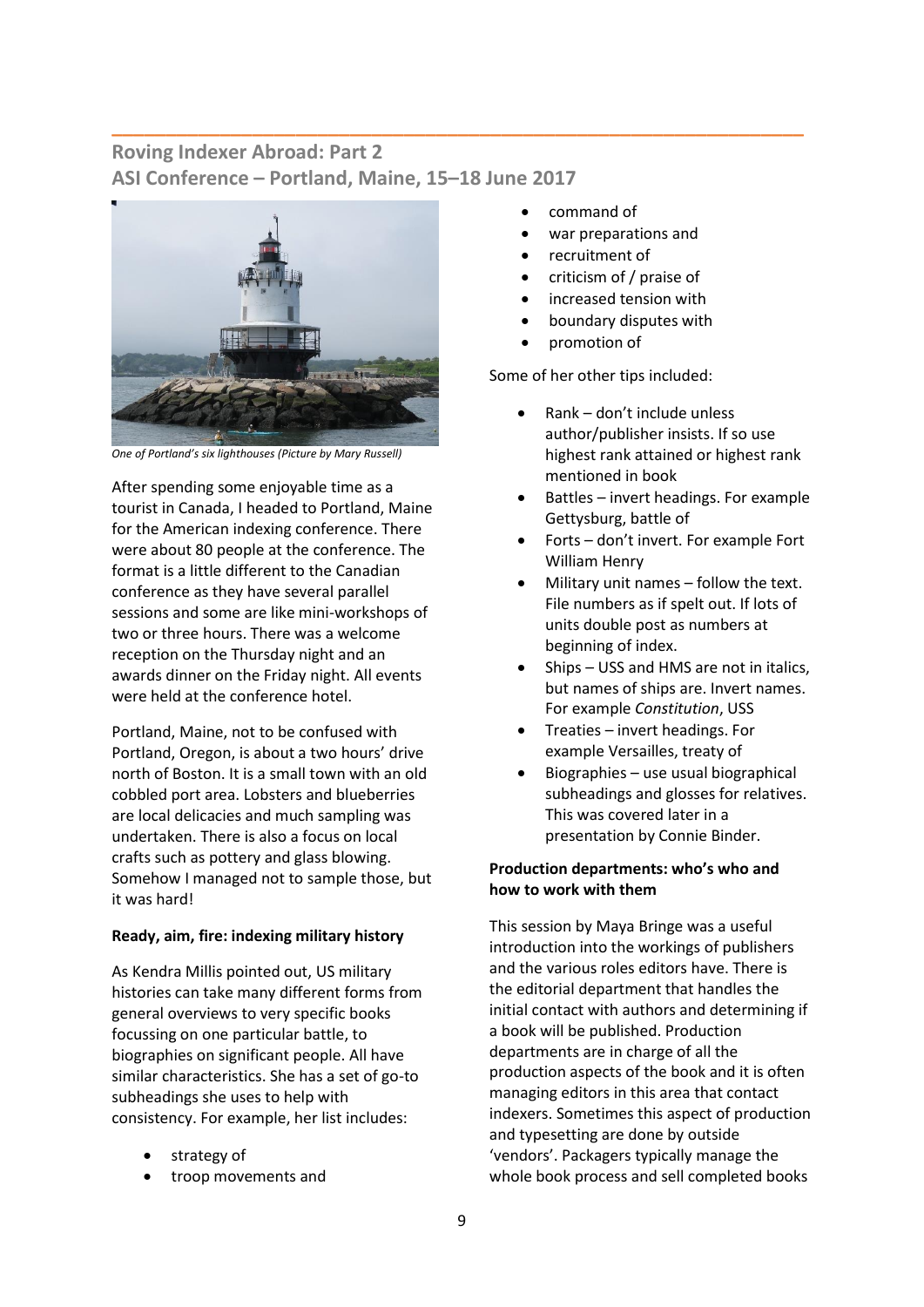# **Roving Indexer Abroad: Part 2 ASI Conference – Portland, Maine, 15–18 June 2017**

**\_\_\_\_\_\_\_\_\_\_\_\_\_\_\_\_\_\_\_\_\_\_\_\_\_\_\_\_\_\_\_\_\_\_\_\_\_\_\_\_\_\_\_\_\_\_\_\_\_\_\_\_\_\_\_\_\_\_\_\_\_\_\_\_**



*One of Portland's six lighthouses (Picture by Mary Russell)*

After spending some enjoyable time as a tourist in Canada, I headed to Portland, Maine for the American indexing conference. There were about 80 people at the conference. The format is a little different to the Canadian conference as they have several parallel sessions and some are like mini-workshops of two or three hours. There was a welcome reception on the Thursday night and an awards dinner on the Friday night. All events were held at the conference hotel.

Portland, Maine, not to be confused with Portland, Oregon, is about a two hours' drive north of Boston. It is a small town with an old cobbled port area. Lobsters and blueberries are local delicacies and much sampling was undertaken. There is also a focus on local crafts such as pottery and glass blowing. Somehow I managed not to sample those, but it was hard!

#### **Ready, aim, fire: indexing military history**

As Kendra Millis pointed out, US military histories can take many different forms from general overviews to very specific books focussing on one particular battle, to biographies on significant people. All have similar characteristics. She has a set of go-to subheadings she uses to help with consistency. For example, her list includes:

- strategy of
- troop movements and
- command of
- war preparations and
- recruitment of
- criticism of / praise of
- increased tension with
- boundary disputes with
- promotion of

Some of her other tips included:

- Rank don't include unless author/publisher insists. If so use highest rank attained or highest rank mentioned in book
- Battles invert headings. For example Gettysburg, battle of
- Forts don't invert. For example Fort William Henry
- Military unit names follow the text. File numbers as if spelt out. If lots of units double post as numbers at beginning of index.
- Ships USS and HMS are not in italics, but names of ships are. Invert names. For example *Constitution*, USS
- Treaties invert headings. For example Versailles, treaty of
- Biographies use usual biographical subheadings and glosses for relatives. This was covered later in a presentation by Connie Binder.

# **Production departments: who's who and how to work with them**

This session by Maya Bringe was a useful introduction into the workings of publishers and the various roles editors have. There is the editorial department that handles the initial contact with authors and determining if a book will be published. Production departments are in charge of all the production aspects of the book and it is often managing editors in this area that contact indexers. Sometimes this aspect of production and typesetting are done by outside 'vendors'. Packagers typically manage the whole book process and sell completed books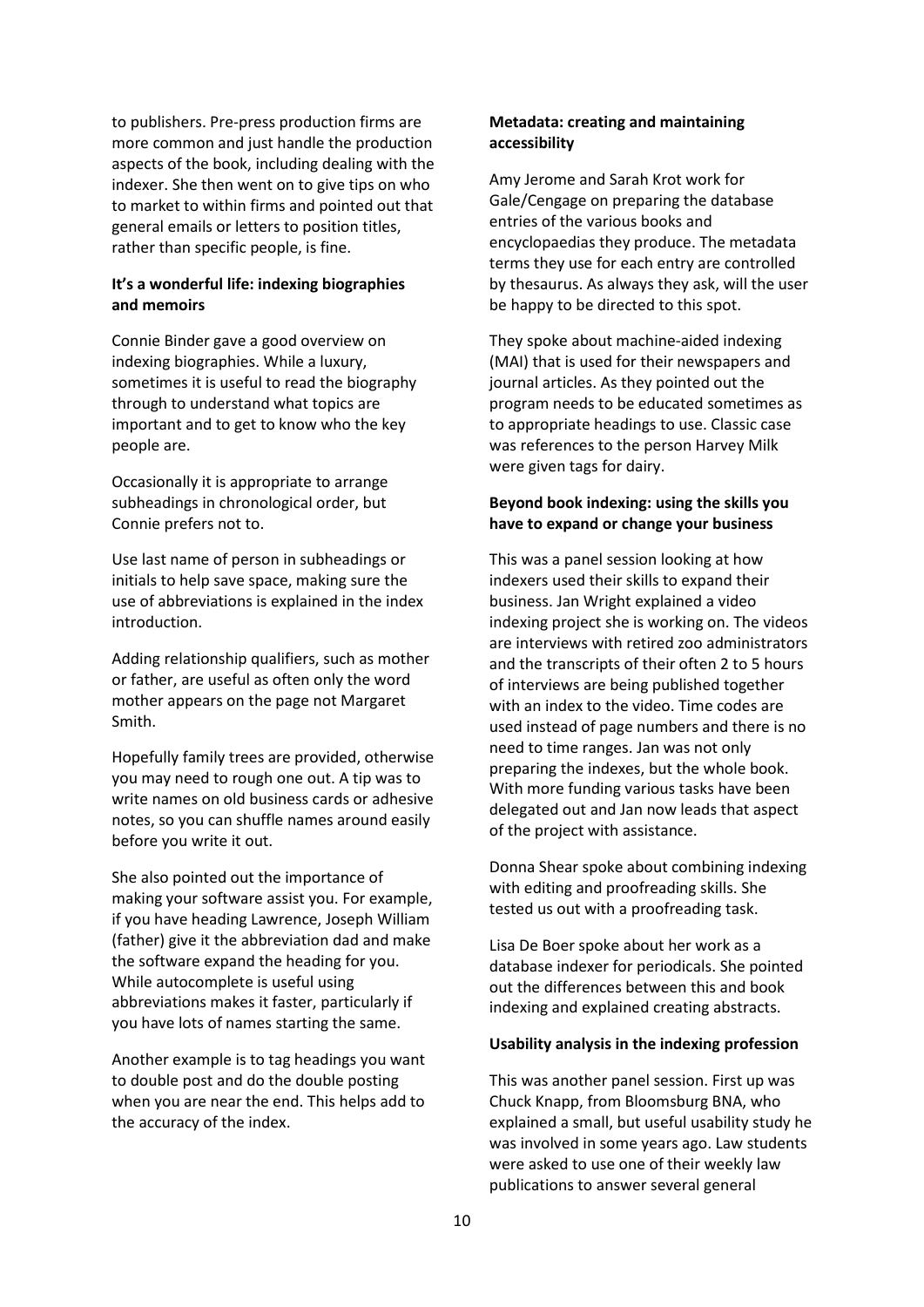to publishers. Pre-press production firms are more common and just handle the production aspects of the book, including dealing with the indexer. She then went on to give tips on who to market to within firms and pointed out that general emails or letters to position titles, rather than specific people, is fine.

# **It's a wonderful life: indexing biographies and memoirs**

Connie Binder gave a good overview on indexing biographies. While a luxury, sometimes it is useful to read the biography through to understand what topics are important and to get to know who the key people are.

Occasionally it is appropriate to arrange subheadings in chronological order, but Connie prefers not to.

Use last name of person in subheadings or initials to help save space, making sure the use of abbreviations is explained in the index introduction.

Adding relationship qualifiers, such as mother or father, are useful as often only the word mother appears on the page not Margaret Smith.

Hopefully family trees are provided, otherwise you may need to rough one out. A tip was to write names on old business cards or adhesive notes, so you can shuffle names around easily before you write it out.

She also pointed out the importance of making your software assist you. For example, if you have heading Lawrence, Joseph William (father) give it the abbreviation dad and make the software expand the heading for you. While autocomplete is useful using abbreviations makes it faster, particularly if you have lots of names starting the same.

Another example is to tag headings you want to double post and do the double posting when you are near the end. This helps add to the accuracy of the index.

# **Metadata: creating and maintaining accessibility**

Amy Jerome and Sarah Krot work for Gale/Cengage on preparing the database entries of the various books and encyclopaedias they produce. The metadata terms they use for each entry are controlled by thesaurus. As always they ask, will the user be happy to be directed to this spot.

They spoke about machine-aided indexing (MAI) that is used for their newspapers and journal articles. As they pointed out the program needs to be educated sometimes as to appropriate headings to use. Classic case was references to the person Harvey Milk were given tags for dairy.

# **Beyond book indexing: using the skills you have to expand or change your business**

This was a panel session looking at how indexers used their skills to expand their business. Jan Wright explained a video indexing project she is working on. The videos are interviews with retired zoo administrators and the transcripts of their often 2 to 5 hours of interviews are being published together with an index to the video. Time codes are used instead of page numbers and there is no need to time ranges. Jan was not only preparing the indexes, but the whole book. With more funding various tasks have been delegated out and Jan now leads that aspect of the project with assistance.

Donna Shear spoke about combining indexing with editing and proofreading skills. She tested us out with a proofreading task.

Lisa De Boer spoke about her work as a database indexer for periodicals. She pointed out the differences between this and book indexing and explained creating abstracts.

## **Usability analysis in the indexing profession**

This was another panel session. First up was Chuck Knapp, from Bloomsburg BNA, who explained a small, but useful usability study he was involved in some years ago. Law students were asked to use one of their weekly law publications to answer several general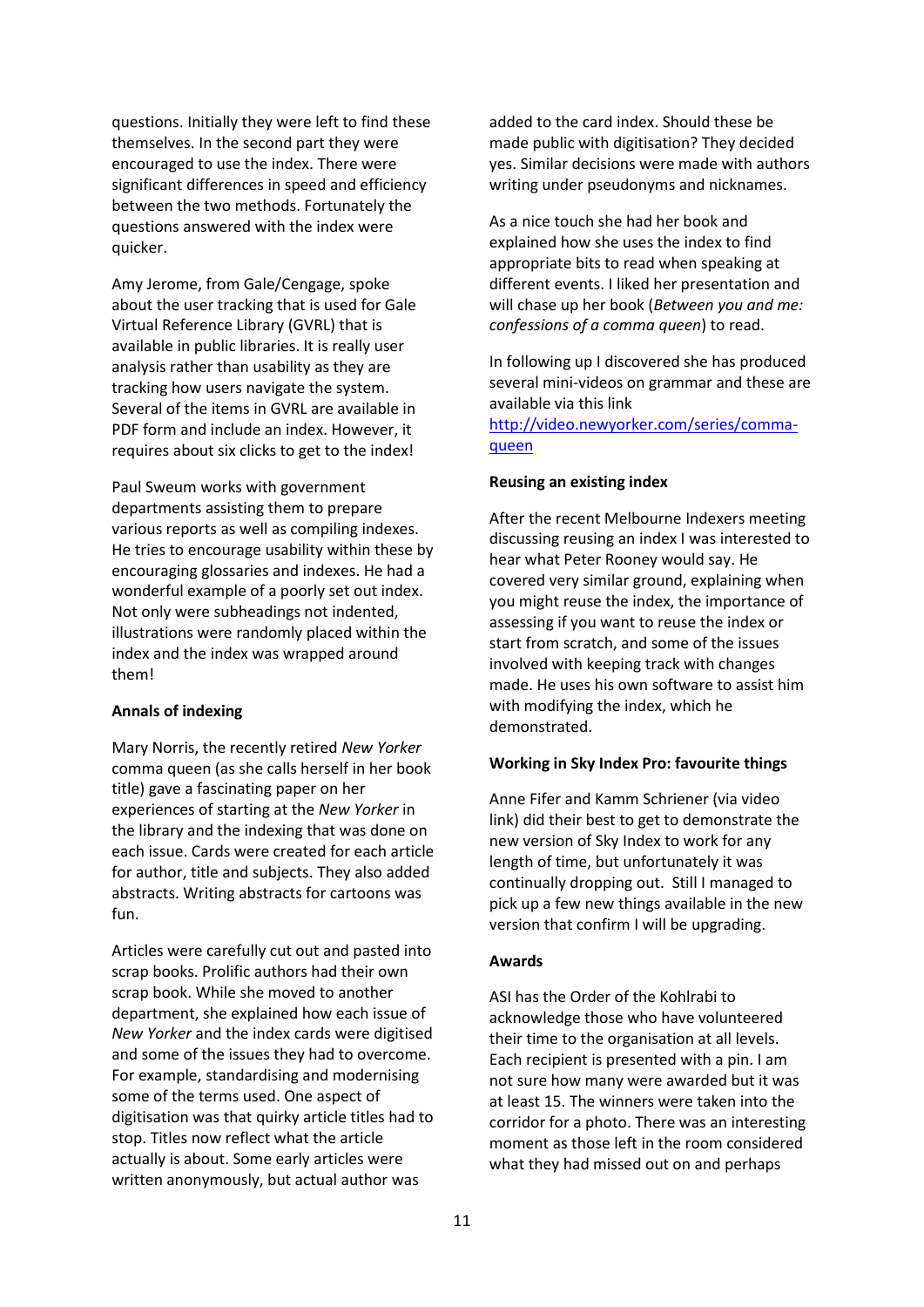questions. Initially they were left to find these themselves. In the second part they were encouraged to use the index. There were significant differences in speed and efficiency between the two methods. Fortunately the questions answered with the index were quicker.

Amy Jerome, from Gale/Cengage, spoke about the user tracking that is used for Gale Virtual Reference Library (GVRL) that is available in public libraries. It is really user analysis rather than usability as they are tracking how users navigate the system. Several of the items in GVRL are available in PDF form and include an index. However, it requires about six clicks to get to the index!

Paul Sweum works with government departments assisting them to prepare various reports as well as compiling indexes. He tries to encourage usability within these by encouraging glossaries and indexes. He had a wonderful example of a poorly set out index. Not only were subheadings not indented, illustrations were randomly placed within the index and the index was wrapped around them!

#### **Annals of indexing**

Mary Norris, the recently retired *New Yorker* comma queen (as she calls herself in her book title) gave a fascinating paper on her experiences of starting at the *New Yorker* in the library and the indexing that was done on each issue. Cards were created for each article for author, title and subjects. They also added abstracts. Writing abstracts for cartoons was fun.

Articles were carefully cut out and pasted into scrap books. Prolific authors had their own scrap book. While she moved to another department, she explained how each issue of *New Yorker* and the index cards were digitised and some of the issues they had to overcome. For example, standardising and modernising some of the terms used. One aspect of digitisation was that quirky article titles had to stop. Titles now reflect what the article actually is about. Some early articles were written anonymously, but actual author was

added to the card index. Should these be made public with digitisation? They decided yes. Similar decisions were made with authors writing under pseudonyms and nicknames.

As a nice touch she had her book and explained how she uses the index to find appropriate bits to read when speaking at different events. I liked her presentation and will chase up her book (*Between you and me: confessions of a comma queen*) to read.

In following up I discovered she has produced several mini-videos on grammar and these are available via this link

[http://video.newyorker.com/series/comma](http://video.newyorker.com/series/comma-queen)[queen](http://video.newyorker.com/series/comma-queen)

#### **Reusing an existing index**

After the recent Melbourne Indexers meeting discussing reusing an index I was interested to hear what Peter Rooney would say. He covered very similar ground, explaining when you might reuse the index, the importance of assessing if you want to reuse the index or start from scratch, and some of the issues involved with keeping track with changes made. He uses his own software to assist him with modifying the index, which he demonstrated.

#### **Working in Sky Index Pro: favourite things**

Anne Fifer and Kamm Schriener (via video link) did their best to get to demonstrate the new version of Sky Index to work for any length of time, but unfortunately it was continually dropping out. Still I managed to pick up a few new things available in the new version that confirm I will be upgrading.

#### **Awards**

ASI has the Order of the Kohlrabi to acknowledge those who have volunteered their time to the organisation at all levels. Each recipient is presented with a pin. I am not sure how many were awarded but it was at least 15. The winners were taken into the corridor for a photo. There was an interesting moment as those left in the room considered what they had missed out on and perhaps